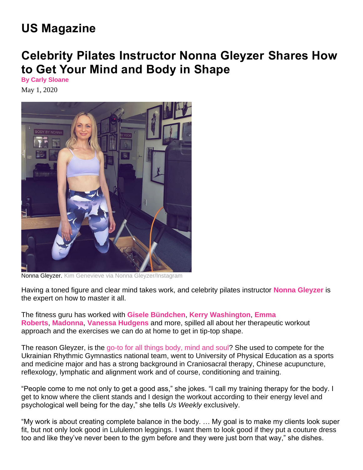## **US Magazine**

## **Celebrity Pilates Instructor Nonna Gleyzer Shares How to Get Your Mind and Body in Shape**

**By Carly Sloane** May 1, 2020



Nonna Gleyzer. Kim Genevieve via Nonna Gleyzer/Instagram

Having a toned figure and clear mind takes work, and celebrity pilates instructor **Nonna Gleyzer** is the expert on how to master it all.

The fitness guru has worked with **Gisele Bündchen**, **Kerry Washington**, **Emma Roberts**, **Madonna**, **Vanessa Hudgens** and more, spilled all about her therapeutic workout approach and the exercises we can do at home to get in tip-top shape.

The reason Gleyzer, is the go-to for all things body, mind and soul? She used to compete for the Ukrainian Rhythmic Gymnastics national team, went to University of Physical Education as a sports and medicine major and has a strong background in Craniosacral therapy, Chinese acupuncture, reflexology, lymphatic and alignment work and of course, conditioning and training.

"People come to me not only to get a good ass," she jokes. "I call my training therapy for the body. I get to know where the client stands and I design the workout according to their energy level and psychological well being for the day," she tells *Us Weekly* exclusively.

"My work is about creating complete balance in the body. … My goal is to make my clients look super fit, but not only look good in Lululemon leggings. I want them to look good if they put a couture dress too and like they've never been to the gym before and they were just born that way," she dishes.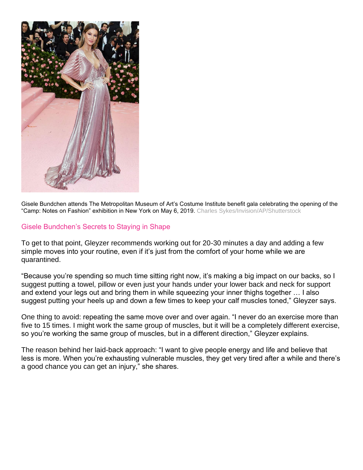

Gisele Bundchen attends The Metropolitan Museum of Art's Costume Institute benefit gala celebrating the opening of the "Camp: Notes on Fashion" exhibition in New York on May 6, 2019. Charles Sykes/Invision/AP/Shutterstock

## Gisele Bundchen's Secrets to Staying in Shape

To get to that point, Gleyzer recommends working out for 20-30 minutes a day and adding a few simple moves into your routine, even if it's just from the comfort of your home while we are quarantined.

"Because you're spending so much time sitting right now, it's making a big impact on our backs, so I suggest putting a towel, pillow or even just your hands under your lower back and neck for support and extend your legs out and bring them in while squeezing your inner thighs together … I also suggest putting your heels up and down a few times to keep your calf muscles toned," Gleyzer says.

One thing to avoid: repeating the same move over and over again. "I never do an exercise more than five to 15 times. I might work the same group of muscles, but it will be a completely different exercise, so you're working the same group of muscles, but in a different direction," Gleyzer explains.

The reason behind her laid-back approach: "I want to give people energy and life and believe that less is more. When you're exhausting vulnerable muscles, they get very tired after a while and there's a good chance you can get an injury," she shares.